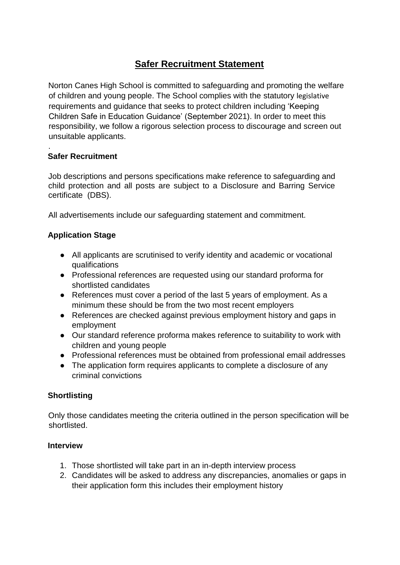# **Safer Recruitment Statement**

Norton Canes High School is committed to safeguarding and promoting the welfare of children and young people. The School complies with the statutory legislative requirements and guidance that seeks to protect children including 'Keeping Children Safe in Education Guidance' (September 2021). In order to meet this responsibility, we follow a rigorous selection process to discourage and screen out unsuitable applicants.

## **Safer Recruitment**

.

Job descriptions and persons specifications make reference to safeguarding and child protection and all posts are subject to a Disclosure and Barring Service certificate (DBS).

All advertisements include our safeguarding statement and commitment.

# **Application Stage**

- All applicants are scrutinised to verify identity and academic or vocational qualifications
- Professional references are requested using our standard proforma for shortlisted candidates
- References must cover a period of the last 5 years of employment. As a minimum these should be from the two most recent employers
- References are checked against previous employment history and gaps in employment
- Our standard reference proforma makes reference to suitability to work with children and young people
- Professional references must be obtained from professional email addresses
- The application form requires applicants to complete a disclosure of any criminal convictions

#### **Shortlisting**

Only those candidates meeting the criteria outlined in the person specification will be shortlisted.

#### **Interview**

- 1. Those shortlisted will take part in an in-depth interview process
- 2. Candidates will be asked to address any discrepancies, anomalies or gaps in their application form this includes their employment history